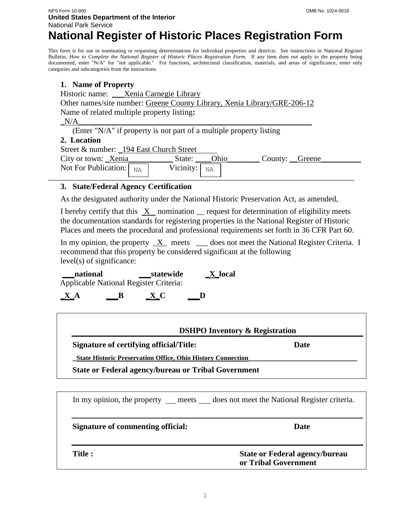# **National Register of Historic Places Registration Form**

This form is for use in nominating or requesting determinations for individual properties and districts. See instructions in National Register Bulletin, *How to Complete the National Register of Historic Places Registration Form.* If any item does not apply to the property being documented, enter "N/A" for "not applicable." For functions, architectural classification, materials, and areas of significance, enter only categories and subcategories from the instructions.

### **1. Name of Property**

| Historic name: ____Xenia Carnegie Library                                |  |
|--------------------------------------------------------------------------|--|
| Other names/site number: Greene County Library, Xenia Library/GRE-206-12 |  |
| Name of related multiple property listing:                               |  |
| N/A                                                                      |  |
| (Enter "N/A" if property is not part of a multiple property listing      |  |
| 2. Location                                                              |  |
| Street & number: _194 East Church Street                                 |  |
| City or town: Xenia<br>Ohio<br>State:<br>County: Greene                  |  |
| Not For Publication:<br>Vicinity:<br>NA<br>NA                            |  |
|                                                                          |  |

# **3. State/Federal Agency Certification** NA

As the designated authority under the National Historic Preservation Act, as amended,

I hereby certify that this  $X$  nomination request for determination of eligibility meets the documentation standards for registering properties in the National Register of Historic Places and meets the procedural and professional requirements set forth in 36 CFR Part 60.

In my opinion, the property  $X$  meets  $\Box$  does not meet the National Register Criteria. I recommend that this property be considered significant at the following level(s) of significance:

national statewide X local Applicable National Register Criteria:

 $\overline{X}A$   $\overline{B}$   $\overline{X}C$   $\overline{D}$ 

| <b>DSHPO</b> Inventory & Registration                              |      |
|--------------------------------------------------------------------|------|
| <b>Signature of certifying official/Title:</b>                     | Date |
| <b>State Historic Preservation Office, Ohio History Connection</b> |      |
| State or Federal agency/bureau or Tribal Government                |      |

|                                   | In my opinion, the property meets does not meet the National Register criteria. |
|-----------------------------------|---------------------------------------------------------------------------------|
| Signature of commenting official: | Date                                                                            |
| Title :                           | <b>State or Federal agency/bureau</b><br>or Tribal Government                   |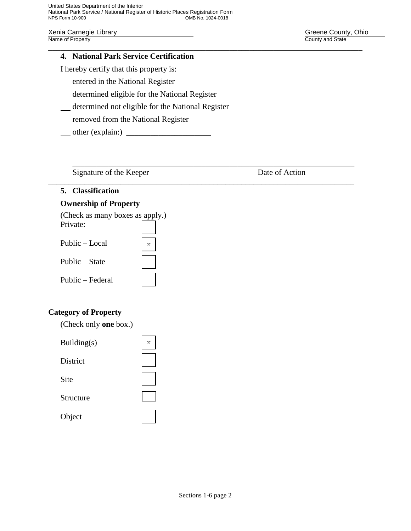Name of Property County and State County and State County and State

# **4. National Park Service Certification**

I hereby certify that this property is:

- entered in the National Register
- determined eligible for the National Register
- determined not eligible for the National Register
- removed from the National Register
- $\Box$  other (explain:)  $\Box$

Signature of the Keeper Date of Action

\_\_\_\_\_\_\_\_\_\_\_\_\_\_\_\_\_\_\_\_\_\_\_\_\_\_\_\_\_\_\_\_\_\_\_\_\_\_\_\_\_\_\_\_\_\_\_\_\_\_\_\_\_\_\_\_\_\_\_\_\_\_\_\_\_\_\_\_\_\_

\_\_\_\_\_\_\_\_\_\_\_\_\_\_\_\_\_\_\_\_\_\_\_\_\_\_\_\_\_\_\_\_\_\_\_\_\_\_\_\_\_\_\_\_\_\_\_\_\_\_\_\_\_\_\_\_\_\_\_\_\_\_\_\_\_\_\_\_\_\_\_\_\_\_\_\_

# **5. Classification**

# **Ownership of Property**

| (Check as many boxes as apply.)<br>Private: |   |
|---------------------------------------------|---|
| Public – Local                              | X |
| Public – State                              |   |
| Public - Federal                            |   |

# **Category of Property**

(Check only **one** box.)

| Building $(s)$ | X |
|----------------|---|
| District       |   |
| Site           |   |
| Structure      |   |
| Object         |   |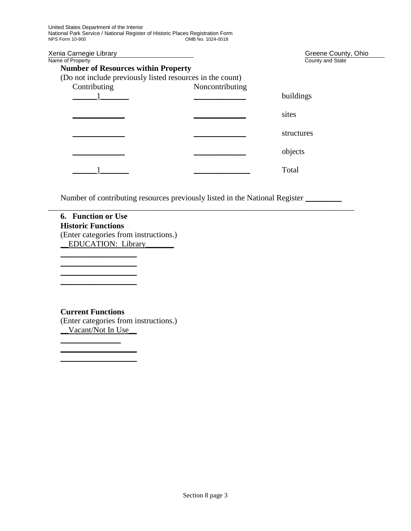| Xenia Carnegie Library                                    |                 | Greene County, Ohio |
|-----------------------------------------------------------|-----------------|---------------------|
| Name of Property                                          |                 | County and State    |
| <b>Number of Resources within Property</b>                |                 |                     |
| (Do not include previously listed resources in the count) |                 |                     |
| Contributing                                              | Noncontributing |                     |
|                                                           |                 | buildings           |
|                                                           |                 | sites               |
|                                                           |                 | structures          |
|                                                           |                 | objects             |
|                                                           |                 | Total               |

Number of contributing resources previously listed in the National Register \_\_\_\_\_\_\_\_\_

\_\_\_\_\_\_\_\_\_\_\_\_\_\_\_\_\_\_\_\_\_\_\_\_\_\_\_\_\_\_\_\_\_\_\_\_\_\_\_\_\_\_\_\_\_\_\_\_\_\_\_\_\_\_\_\_\_\_\_\_\_\_\_\_\_\_\_\_\_\_\_\_\_\_\_\_

**6. Function or Use Historic Functions** (Enter categories from instructions.) \_\_EDUCATION: Library\_\_\_\_\_\_\_

**Current Functions**

\_\_\_\_\_\_\_\_\_\_\_\_\_\_\_  $\_$  $\_$ 

 $\_$  $\_$ 

 $\_$ 

(Enter categories from instructions.) \_\_Vacant/Not In Use\_\_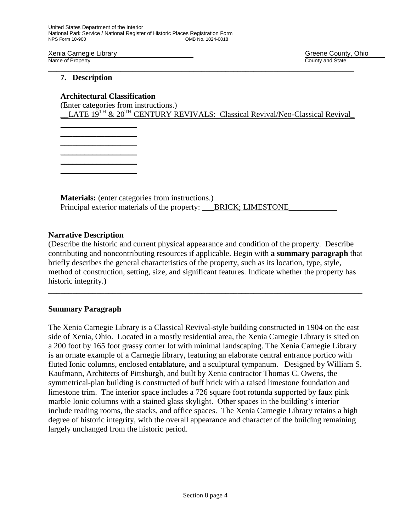Xenia Carnegie Library Martin County, Ohio Carnegie Library Greene County, Ohio County, Ohio County, Ohio County<br>
Name of Property

County and State

#### **7. Description**

#### **Architectural Classification**

 $\_$  $\_$  $\_$  $\_$  $\_$  $\_$ 

(Enter categories from instructions.) LATE  $19^{TH}$  &  $20^{TH}$  CENTURY REVIVALS: Classical Revival/Neo-Classical Revival

\_\_\_\_\_\_\_\_\_\_\_\_\_\_\_\_\_\_\_\_\_\_\_\_\_\_\_\_\_\_\_\_\_\_\_\_\_\_\_\_\_\_\_\_\_\_\_\_\_\_\_\_\_\_\_\_\_\_\_\_\_\_\_\_\_\_\_\_\_\_\_\_\_\_\_\_

**Materials:** (enter categories from instructions.) Principal exterior materials of the property: \_\_\_BRICK; LIMESTONE

#### **Narrative Description**

(Describe the historic and current physical appearance and condition of the property. Describe contributing and noncontributing resources if applicable. Begin with **a summary paragraph** that briefly describes the general characteristics of the property, such as its location, type, style, method of construction, setting, size, and significant features. Indicate whether the property has historic integrity.)

\_\_\_\_\_\_\_\_\_\_\_\_\_\_\_\_\_\_\_\_\_\_\_\_\_\_\_\_\_\_\_\_\_\_\_\_\_\_\_\_\_\_\_\_\_\_\_\_\_\_\_\_\_\_\_\_\_\_\_\_\_\_\_\_\_\_\_\_\_\_\_\_\_\_\_\_\_\_

#### **Summary Paragraph**

The Xenia Carnegie Library is a Classical Revival-style building constructed in 1904 on the east side of Xenia, Ohio. Located in a mostly residential area, the Xenia Carnegie Library is sited on a 200 foot by 165 foot grassy corner lot with minimal landscaping. The Xenia Carnegie Library is an ornate example of a Carnegie library, featuring an elaborate central entrance portico with fluted Ionic columns, enclosed entablature, and a sculptural tympanum. Designed by William S. Kaufmann, Architects of Pittsburgh, and built by Xenia contractor Thomas C. Owens, the symmetrical-plan building is constructed of buff brick with a raised limestone foundation and limestone trim. The interior space includes a 726 square foot rotunda supported by faux pink marble Ionic columns with a stained glass skylight. Other spaces in the building's interior include reading rooms, the stacks, and office spaces. The Xenia Carnegie Library retains a high degree of historic integrity, with the overall appearance and character of the building remaining largely unchanged from the historic period.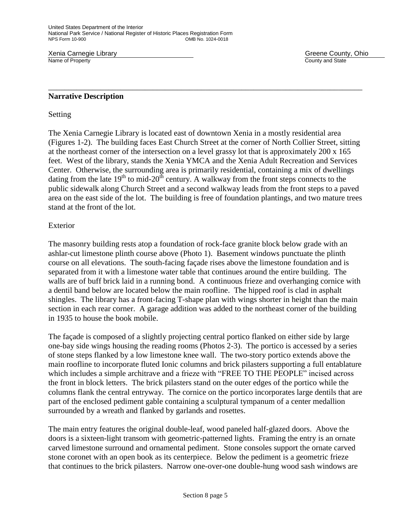Xenia Carnegie Library Martin County, Ohio Carnegie Library Channel County, Ohio County, Ohio County, Ohio County, Ohio

County and State

#### **Narrative Description**

#### Setting

The Xenia Carnegie Library is located east of downtown Xenia in a mostly residential area (Figures 1-2). The building faces East Church Street at the corner of North Collier Street, sitting at the northeast corner of the intersection on a level grassy lot that is approximately 200 x 165 feet. West of the library, stands the Xenia YMCA and the Xenia Adult Recreation and Services Center. Otherwise, the surrounding area is primarily residential, containing a mix of dwellings dating from the late  $19<sup>th</sup>$  to mid-20<sup>th</sup> century. A walkway from the front steps connects to the public sidewalk along Church Street and a second walkway leads from the front steps to a paved area on the east side of the lot. The building is free of foundation plantings, and two mature trees stand at the front of the lot.

\_\_\_\_\_\_\_\_\_\_\_\_\_\_\_\_\_\_\_\_\_\_\_\_\_\_\_\_\_\_\_\_\_\_\_\_\_\_\_\_\_\_\_\_\_\_\_\_\_\_\_\_\_\_\_\_\_\_\_\_\_\_\_\_\_\_\_\_\_\_\_\_\_\_\_\_\_\_

### Exterior

The masonry building rests atop a foundation of rock-face granite block below grade with an ashlar-cut limestone plinth course above (Photo 1). Basement windows punctuate the plinth course on all elevations. The south-facing façade rises above the limestone foundation and is separated from it with a limestone water table that continues around the entire building. The walls are of buff brick laid in a running bond. A continuous frieze and overhanging cornice with a dentil band below are located below the main roofline. The hipped roof is clad in asphalt shingles. The library has a front-facing T-shape plan with wings shorter in height than the main section in each rear corner. A garage addition was added to the northeast corner of the building in 1935 to house the book mobile.

The façade is composed of a slightly projecting central portico flanked on either side by large one-bay side wings housing the reading rooms (Photos 2-3). The portico is accessed by a series of stone steps flanked by a low limestone knee wall. The two-story portico extends above the main roofline to incorporate fluted Ionic columns and brick pilasters supporting a full entablature which includes a simple architrave and a frieze with "FREE TO THE PEOPLE" incised across the front in block letters. The brick pilasters stand on the outer edges of the portico while the columns flank the central entryway. The cornice on the portico incorporates large dentils that are part of the enclosed pediment gable containing a sculptural tympanum of a center medallion surrounded by a wreath and flanked by garlands and rosettes.

The main entry features the original double-leaf, wood paneled half-glazed doors. Above the doors is a sixteen-light transom with geometric-patterned lights. Framing the entry is an ornate carved limestone surround and ornamental pediment. Stone consoles support the ornate carved stone coronet with an open book as its centerpiece. Below the pediment is a geometric frieze that continues to the brick pilasters. Narrow one-over-one double-hung wood sash windows are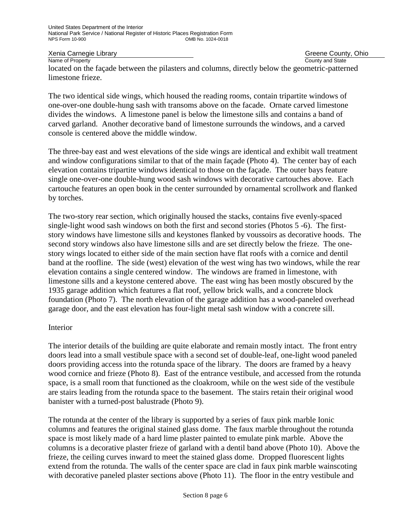Xenia Carnegie Library Greene County, Ohio

Name of Property **County Accounty County and State** located on the façade between the pilasters and columns, directly below the geometric-patterned limestone frieze.

The two identical side wings, which housed the reading rooms, contain tripartite windows of one-over-one double-hung sash with transoms above on the facade. Ornate carved limestone divides the windows. A limestone panel is below the limestone sills and contains a band of carved garland. Another decorative band of limestone surrounds the windows, and a carved console is centered above the middle window.

The three-bay east and west elevations of the side wings are identical and exhibit wall treatment and window configurations similar to that of the main façade (Photo 4). The center bay of each elevation contains tripartite windows identical to those on the façade. The outer bays feature single one-over-one double-hung wood sash windows with decorative cartouches above. Each cartouche features an open book in the center surrounded by ornamental scrollwork and flanked by torches.

The two-story rear section, which originally housed the stacks, contains five evenly-spaced single-light wood sash windows on both the first and second stories (Photos 5 -6). The firststory windows have limestone sills and keystones flanked by voussoirs as decorative hoods. The second story windows also have limestone sills and are set directly below the frieze. The onestory wings located to either side of the main section have flat roofs with a cornice and dentil band at the roofline. The side (west) elevation of the west wing has two windows, while the rear elevation contains a single centered window. The windows are framed in limestone, with limestone sills and a keystone centered above. The east wing has been mostly obscured by the 1935 garage addition which features a flat roof, yellow brick walls, and a concrete block foundation (Photo 7). The north elevation of the garage addition has a wood-paneled overhead garage door, and the east elevation has four-light metal sash window with a concrete sill.

### Interior

The interior details of the building are quite elaborate and remain mostly intact. The front entry doors lead into a small vestibule space with a second set of double-leaf, one-light wood paneled doors providing access into the rotunda space of the library. The doors are framed by a heavy wood cornice and frieze (Photo 8). East of the entrance vestibule, and accessed from the rotunda space, is a small room that functioned as the cloakroom, while on the west side of the vestibule are stairs leading from the rotunda space to the basement. The stairs retain their original wood banister with a turned-post balustrade (Photo 9).

The rotunda at the center of the library is supported by a series of faux pink marble Ionic columns and features the original stained glass dome. The faux marble throughout the rotunda space is most likely made of a hard lime plaster painted to emulate pink marble. Above the columns is a decorative plaster frieze of garland with a dentil band above (Photo 10). Above the frieze, the ceiling curves inward to meet the stained glass dome. Dropped fluorescent lights extend from the rotunda. The walls of the center space are clad in faux pink marble wainscoting with decorative paneled plaster sections above (Photo 11). The floor in the entry vestibule and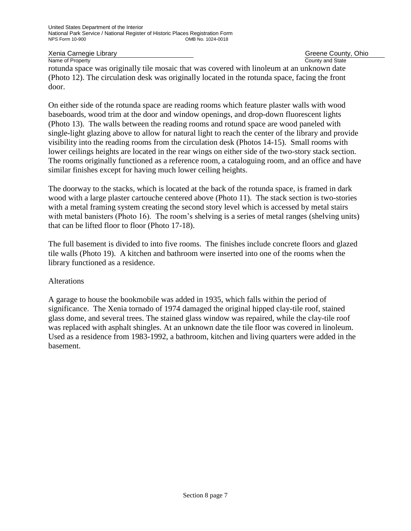Xenia Carnegie Library Martin County, Ohio Carnegie Library Greene County, Ohio County, Ohio County, Ohio County<br>
Name of Property

County and State rotunda space was originally tile mosaic that was covered with linoleum at an unknown date (Photo 12). The circulation desk was originally located in the rotunda space, facing the front door.

On either side of the rotunda space are reading rooms which feature plaster walls with wood baseboards, wood trim at the door and window openings, and drop-down fluorescent lights (Photo 13). The walls between the reading rooms and rotund space are wood paneled with single-light glazing above to allow for natural light to reach the center of the library and provide visibility into the reading rooms from the circulation desk (Photos 14-15). Small rooms with lower ceilings heights are located in the rear wings on either side of the two-story stack section. The rooms originally functioned as a reference room, a cataloguing room, and an office and have similar finishes except for having much lower ceiling heights.

The doorway to the stacks, which is located at the back of the rotunda space, is framed in dark wood with a large plaster cartouche centered above (Photo 11). The stack section is two-stories with a metal framing system creating the second story level which is accessed by metal stairs with metal banisters (Photo 16). The room's shelving is a series of metal ranges (shelving units) that can be lifted floor to floor (Photo 17-18).

The full basement is divided to into five rooms. The finishes include concrete floors and glazed tile walls (Photo 19). A kitchen and bathroom were inserted into one of the rooms when the library functioned as a residence.

#### Alterations

A garage to house the bookmobile was added in 1935, which falls within the period of significance. The Xenia tornado of 1974 damaged the original hipped clay-tile roof, stained glass dome, and several trees. The stained glass window was repaired, while the clay-tile roof was replaced with asphalt shingles. At an unknown date the tile floor was covered in linoleum. Used as a residence from 1983-1992, a bathroom, kitchen and living quarters were added in the basement.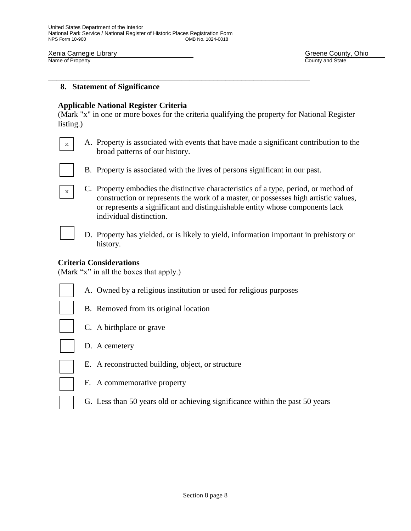Xenia Carnegie Library Martin County, Ohio Network Creene County, Ohio Network Creene County, Ohio Network County<br>
Name of Property

County and State

#### **8. Statement of Significance**

#### **Applicable National Register Criteria**

(Mark "x" in one or more boxes for the criteria qualifying the property for National Register listing.)

- A. Property is associated with events that have made a significant contribution to the broad patterns of our history.
- B. Property is associated with the lives of persons significant in our past.

\_\_\_\_\_\_\_\_\_\_\_\_\_\_\_\_\_\_\_\_\_\_\_\_\_\_\_\_\_\_\_\_\_\_\_\_\_\_\_\_\_\_\_\_\_\_\_\_\_\_\_\_\_\_\_\_\_\_\_\_\_\_\_\_\_

- C. Property embodies the distinctive characteristics of a type, period, or method of construction or represents the work of a master, or possesses high artistic values, or represents a significant and distinguishable entity whose components lack individual distinction.
- 

x

x

x

D. Property has yielded, or is likely to yield, information important in prehistory or history.

#### **Criteria Considerations**

(Mark "x" in all the boxes that apply.)

- A. Owned by a religious institution or used for religious purposes
- B. Removed from its original location
- 
- C. A birthplace or grave
- D. A cemetery
- E. A reconstructed building, object, or structure
- F. A commemorative property
- G. Less than 50 years old or achieving significance within the past 50 years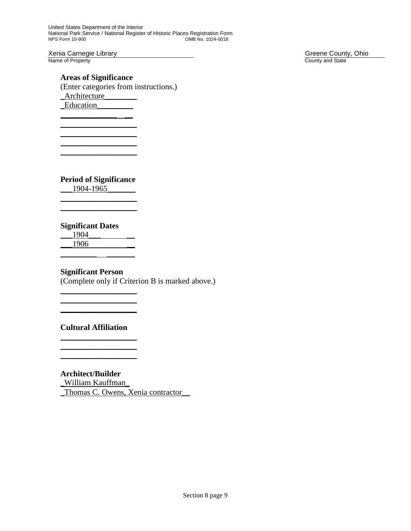Xenia Carnegie Library Martin County, Ohio County, Ohio County, Ohio County, Ohio County, Ohio County, Ohio County and State Name of Property

**Areas of Significance** (Enter categories from instructions.) \_Architecture\_\_\_\_\_\_\_\_ Education

**Period of Significance**

 $\_$ 

 $\_$  $\_$  $\_$  $\_$ 

\_\_\_1904-1965\_\_\_\_\_\_\_  $\_$ 

**Significant Dates**

\_\_\_1904\_\_\_ \_\_ \_\_\_1906 \_\_

### **Significant Person**

 $\_$  $\_$  $\_$ 

(Complete only if Criterion B is marked above.)

**Cultural Affiliation**  $\_$ 

 $\_$  $\_$ 

**Architect/Builder** \_William Kauffman\_ \_Thomas C. Owens, Xenia contractor\_\_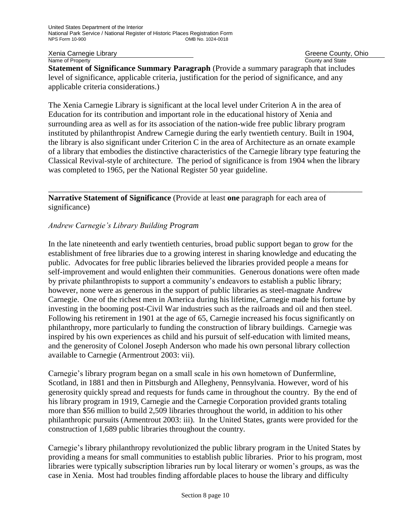Xenia Carnegie Library Greene County, Ohio

Name of Property **County and State Statement of Significance Summary Paragraph** (Provide a summary paragraph that includes level of significance, applicable criteria, justification for the period of significance, and any applicable criteria considerations.)

The Xenia Carnegie Library is significant at the local level under Criterion A in the area of Education for its contribution and important role in the educational history of Xenia and surrounding area as well as for its association of the nation-wide free public library program instituted by philanthropist Andrew Carnegie during the early twentieth century. Built in 1904, the library is also significant under Criterion C in the area of Architecture as an ornate example of a library that embodies the distinctive characteristics of the Carnegie library type featuring the Classical Revival-style of architecture. The period of significance is from 1904 when the library was completed to 1965, per the National Register 50 year guideline.

\_\_\_\_\_\_\_\_\_\_\_\_\_\_\_\_\_\_\_\_\_\_\_\_\_\_\_\_\_\_\_\_\_\_\_\_\_\_\_\_\_\_\_\_\_\_\_\_\_\_\_\_\_\_\_\_\_\_\_\_\_\_\_\_\_\_\_\_\_\_\_\_\_\_\_\_\_\_

**Narrative Statement of Significance** (Provide at least **one** paragraph for each area of significance)

### *Andrew Carnegie's Library Building Program*

In the late nineteenth and early twentieth centuries, broad public support began to grow for the establishment of free libraries due to a growing interest in sharing knowledge and educating the public. Advocates for free public libraries believed the libraries provided people a means for self-improvement and would enlighten their communities. Generous donations were often made by private philanthropists to support a community's endeavors to establish a public library; however, none were as generous in the support of public libraries as steel-magnate Andrew Carnegie. One of the richest men in America during his lifetime, Carnegie made his fortune by investing in the booming post-Civil War industries such as the railroads and oil and then steel. Following his retirement in 1901 at the age of 65, Carnegie increased his focus significantly on philanthropy, more particularly to funding the construction of library buildings. Carnegie was inspired by his own experiences as child and his pursuit of self-education with limited means, and the generosity of Colonel Joseph Anderson who made his own personal library collection available to Carnegie (Armentrout 2003: vii).

Carnegie's library program began on a small scale in his own hometown of Dunfermline, Scotland, in 1881 and then in Pittsburgh and Allegheny, Pennsylvania. However, word of his generosity quickly spread and requests for funds came in throughout the country. By the end of his library program in 1919, Carnegie and the Carnegie Corporation provided grants totaling more than \$56 million to build 2,509 libraries throughout the world, in addition to his other philanthropic pursuits (Armentrout 2003: iii). In the United States, grants were provided for the construction of 1,689 public libraries throughout the country.

Carnegie's library philanthropy revolutionized the public library program in the United States by providing a means for small communities to establish public libraries. Prior to his program, most libraries were typically subscription libraries run by local literary or women's groups, as was the case in Xenia. Most had troubles finding affordable places to house the library and difficulty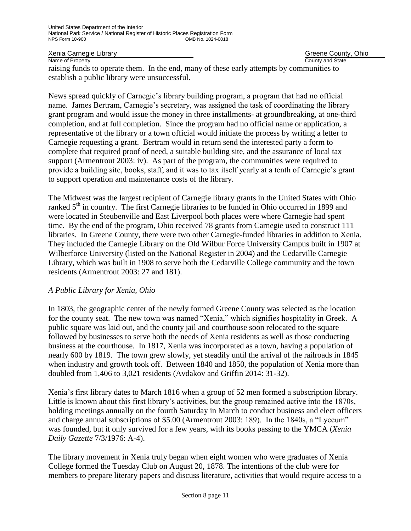Xenia Carnegie Library **Greene County, Ohio**<br>
Name of Property Greene County, Ohio County and State

raising funds to operate them. In the end, many of these early attempts by communities to establish a public library were unsuccessful.

News spread quickly of Carnegie's library building program, a program that had no official name. James Bertram, Carnegie's secretary, was assigned the task of coordinating the library grant program and would issue the money in three installments- at groundbreaking, at one-third completion, and at full completion. Since the program had no official name or application, a representative of the library or a town official would initiate the process by writing a letter to Carnegie requesting a grant. Bertram would in return send the interested party a form to complete that required proof of need, a suitable building site, and the assurance of local tax support (Armentrout 2003: iv). As part of the program, the communities were required to provide a building site, books, staff, and it was to tax itself yearly at a tenth of Carnegie's grant to support operation and maintenance costs of the library.

The Midwest was the largest recipient of Carnegie library grants in the United States with Ohio ranked 5<sup>th</sup> in country. The first Carnegie libraries to be funded in Ohio occurred in 1899 and were located in Steubenville and East Liverpool both places were where Carnegie had spent time. By the end of the program, Ohio received 78 grants from Carnegie used to construct 111 libraries. In Greene County, there were two other Carnegie-funded libraries in addition to Xenia. They included the Carnegie Library on the Old Wilbur Force University Campus built in 1907 at Wilberforce University (listed on the National Register in 2004) and the Cedarville Carnegie Library, which was built in 1908 to serve both the Cedarville College community and the town residents (Armentrout 2003: 27 and 181).

# *A Public Library for Xenia, Ohio*

In 1803, the geographic center of the newly formed Greene County was selected as the location for the county seat. The new town was named "Xenia," which signifies hospitality in Greek. A public square was laid out, and the county jail and courthouse soon relocated to the square followed by businesses to serve both the needs of Xenia residents as well as those conducting business at the courthouse. In 1817, Xenia was incorporated as a town, having a population of nearly 600 by 1819. The town grew slowly, yet steadily until the arrival of the railroads in 1845 when industry and growth took off. Between 1840 and 1850, the population of Xenia more than doubled from 1,406 to 3,021 residents (Avdakov and Griffin 2014: 31-32).

Xenia's first library dates to March 1816 when a group of 52 men formed a subscription library. Little is known about this first library's activities, but the group remained active into the 1870s, holding meetings annually on the fourth Saturday in March to conduct business and elect officers and charge annual subscriptions of \$5.00 (Armentrout 2003: 189). In the 1840s, a "Lyceum" was founded, but it only survived for a few years, with its books passing to the YMCA (*Xenia Daily Gazette* 7/3/1976: A-4).

The library movement in Xenia truly began when eight women who were graduates of Xenia College formed the Tuesday Club on August 20, 1878. The intentions of the club were for members to prepare literary papers and discuss literature, activities that would require access to a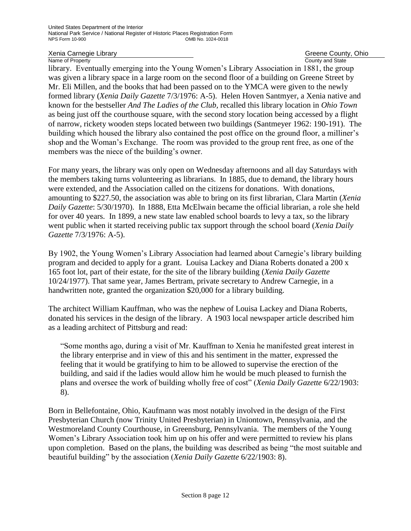Xenia Carnegie Library **Greene County, Ohio**<br>
Name of Property Greene County, Ohio County and State

library. Eventually emerging into the Young Women's Library Association in 1881, the group was given a library space in a large room on the second floor of a building on Greene Street by Mr. Eli Millen, and the books that had been passed on to the YMCA were given to the newly formed library (*Xenia Daily Gazette* 7/3/1976: A-5). Helen Hoven Santmyer, a Xenia native and known for the bestseller *And The Ladies of the Club,* recalled this library location in *Ohio Town* as being just off the courthouse square, with the second story location being accessed by a flight of narrow, rickety wooden steps located between two buildings (Santmeyer 1962: 190-191). The building which housed the library also contained the post office on the ground floor, a milliner's shop and the Woman's Exchange. The room was provided to the group rent free, as one of the members was the niece of the building's owner.

For many years, the library was only open on Wednesday afternoons and all day Saturdays with the members taking turns volunteering as librarians. In 1885, due to demand, the library hours were extended, and the Association called on the citizens for donations. With donations, amounting to \$227.50, the association was able to bring on its first librarian, Clara Martin (*Xenia Daily Gazette*: 5/30/1970). In 1888, Etta McElwain became the official librarian, a role she held for over 40 years. In 1899, a new state law enabled school boards to levy a tax, so the library went public when it started receiving public tax support through the school board (*Xenia Daily Gazette* 7/3/1976: A-5).

By 1902, the Young Women's Library Association had learned about Carnegie's library building program and decided to apply for a grant. Louisa Lackey and Diana Roberts donated a 200 x 165 foot lot, part of their estate, for the site of the library building (*Xenia Daily Gazette* 10/24/1977). That same year, James Bertram, private secretary to Andrew Carnegie, in a handwritten note, granted the organization \$20,000 for a library building.

The architect William Kauffman, who was the nephew of Louisa Lackey and Diana Roberts, donated his services in the design of the library. A 1903 local newspaper article described him as a leading architect of Pittsburg and read:

"Some months ago, during a visit of Mr. Kauffman to Xenia he manifested great interest in the library enterprise and in view of this and his sentiment in the matter, expressed the feeling that it would be gratifying to him to be allowed to supervise the erection of the building, and said if the ladies would allow him he would be much pleased to furnish the plans and oversee the work of building wholly free of cost" (*Xenia Daily Gazette* 6/22/1903: 8).

Born in Bellefontaine, Ohio, Kaufmann was most notably involved in the design of the First Presbyterian Church (now Trinity United Presbyterian) in Uniontown, Pennsylvania, and the Westmoreland County Courthouse, in Greensburg, Pennsylvania. The members of the Young Women's Library Association took him up on his offer and were permitted to review his plans upon completion. Based on the plans, the building was described as being "the most suitable and beautiful building" by the association (*Xenia Daily Gazette* 6/22/1903: 8).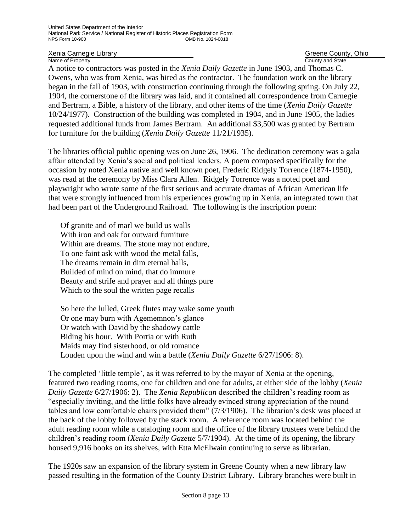Xenia Carnegie Library Greene County, Ohio Name of Property **County Accounty County and State** 

A notice to contractors was posted in the *Xenia Daily Gazette* in June 1903, and Thomas C. Owens, who was from Xenia, was hired as the contractor. The foundation work on the library began in the fall of 1903, with construction continuing through the following spring. On July 22, 1904, the cornerstone of the library was laid, and it contained all correspondence from Carnegie and Bertram, a Bible, a history of the library, and other items of the time (*Xenia Daily Gazette* 10/24/1977). Construction of the building was completed in 1904, and in June 1905, the ladies requested additional funds from James Bertram. An additional \$3,500 was granted by Bertram for furniture for the building (*Xenia Daily Gazette* 11/21/1935).

The libraries official public opening was on June 26, 1906. The dedication ceremony was a gala affair attended by Xenia's social and political leaders. A poem composed specifically for the occasion by noted Xenia native and well known poet, Frederic Ridgely Torrence (1874-1950), was read at the ceremony by Miss Clara Allen. Ridgely Torrence was a noted poet and playwright who wrote some of the first serious and accurate dramas of African American life that were strongly influenced from his experiences growing up in Xenia, an integrated town that had been part of the Underground Railroad. The following is the inscription poem:

Of granite and of marl we build us walls With iron and oak for outward furniture Within are dreams. The stone may not endure, To one faint ask with wood the metal falls, The dreams remain in dim eternal halls, Builded of mind on mind, that do immure Beauty and strife and prayer and all things pure Which to the soul the written page recalls

So here the lulled, Greek flutes may wake some youth Or one may burn with Agememnon's glance Or watch with David by the shadowy cattle Biding his hour. With Portia or with Ruth Maids may find sisterhood, or old romance Louden upon the wind and win a battle (*Xenia Daily Gazette* 6/27/1906: 8).

The completed 'little temple', as it was referred to by the mayor of Xenia at the opening, featured two reading rooms, one for children and one for adults, at either side of the lobby (*Xenia Daily Gazette* 6/27/1906: 2). The *Xenia Republican* described the children's reading room as "especially inviting, and the little folks have already evinced strong appreciation of the round tables and low comfortable chairs provided them" (7/3/1906). The librarian's desk was placed at the back of the lobby followed by the stack room. A reference room was located behind the adult reading room while a cataloging room and the office of the library trustees were behind the children's reading room (*Xenia Daily Gazette* 5/7/1904). At the time of its opening, the library housed 9,916 books on its shelves, with Etta McElwain continuing to serve as librarian.

The 1920s saw an expansion of the library system in Greene County when a new library law passed resulting in the formation of the County District Library. Library branches were built in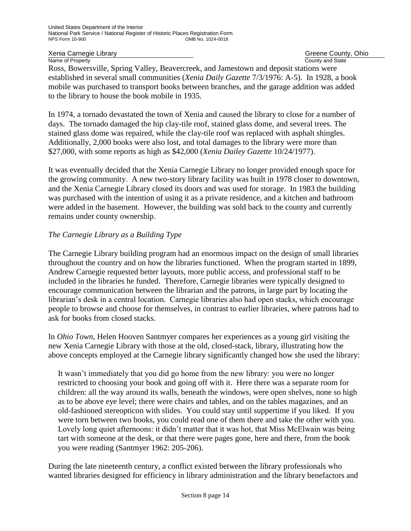Xenia Carnegie Library Greene County, Ohio

Name of Property **County Accounty County and State** Ross, Bowersville, Spring Valley, Beavercreek, and Jamestown and deposit stations were established in several small communities (*Xenia Daily Gazette* 7/3/1976: A-5). In 1928, a book mobile was purchased to transport books between branches, and the garage addition was added to the library to house the book mobile in 1935.

In 1974, a tornado devastated the town of Xenia and caused the library to close for a number of days. The tornado damaged the hip clay-tile roof, stained glass dome, and several trees. The stained glass dome was repaired, while the clay-tile roof was replaced with asphalt shingles. Additionally, 2,000 books were also lost, and total damages to the library were more than \$27,000, with some reports as high as \$42,000 (*Xenia Dailey Gazette* 10/24/1977).

It was eventually decided that the Xenia Carnegie Library no longer provided enough space for the growing community. A new two-story library facility was built in 1978 closer to downtown, and the Xenia Carnegie Library closed its doors and was used for storage. In 1983 the building was purchased with the intention of using it as a private residence, and a kitchen and bathroom were added in the basement. However, the building was sold back to the county and currently remains under county ownership.

# *The Carnegie Library as a Building Type*

The Carnegie Library building program had an enormous impact on the design of small libraries throughout the country and on how the libraries functioned. When the program started in 1899, Andrew Carnegie requested better layouts, more public access, and professional staff to be included in the libraries he funded. Therefore, Carnegie libraries were typically designed to encourage communication between the librarian and the patrons, in large part by locating the librarian's desk in a central location. Carnegie libraries also had open stacks, which encourage people to browse and choose for themselves, in contrast to earlier libraries, where patrons had to ask for books from closed stacks.

In *Ohio Town*, Helen Hooven Santmyer compares her experiences as a young girl visiting the new Xenia Carnegie Library with those at the old, closed-stack, library, illustrating how the above concepts employed at the Carnegie library significantly changed how she used the library:

It wasn't immediately that you did go home from the new library: you were no longer restricted to choosing your book and going off with it. Here there was a separate room for children: all the way around its walls, beneath the windows, were open shelves, none so high as to be above eye level; there were chairs and tables, and on the tables magazines, and an old-fashioned stereopticon with slides. You could stay until suppertime if you liked. If you were torn between two books, you could read one of them there and take the other with you. Lovely long quiet afternoons: it didn't matter that it was hot, that Miss McElwain was being tart with someone at the desk, or that there were pages gone, here and there, from the book you were reading (Santmyer 1962: 205-206).

During the late nineteenth century, a conflict existed between the library professionals who wanted libraries designed for efficiency in library administration and the library benefactors and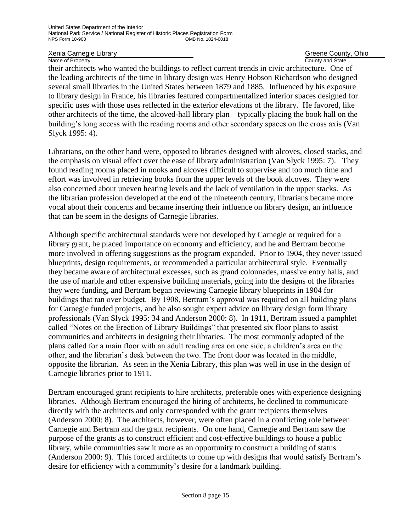Xenia Carnegie Library **Greene County, Ohio**<br>
Name of Property Greene County, Ohio County and State

their architects who wanted the buildings to reflect current trends in civic architecture. One of the leading architects of the time in library design was Henry Hobson Richardson who designed several small libraries in the United States between 1879 and 1885. Influenced by his exposure to library design in France, his libraries featured compartmentalized interior spaces designed for specific uses with those uses reflected in the exterior elevations of the library. He favored, like other architects of the time, the alcoved-hall library plan—typically placing the book hall on the building's long access with the reading rooms and other secondary spaces on the cross axis (Van Slyck 1995: 4).

Librarians, on the other hand were, opposed to libraries designed with alcoves, closed stacks, and the emphasis on visual effect over the ease of library administration (Van Slyck 1995: 7). They found reading rooms placed in nooks and alcoves difficult to supervise and too much time and effort was involved in retrieving books from the upper levels of the book alcoves. They were also concerned about uneven heating levels and the lack of ventilation in the upper stacks. As the librarian profession developed at the end of the nineteenth century, librarians became more vocal about their concerns and became inserting their influence on library design, an influence that can be seem in the designs of Carnegie libraries.

Although specific architectural standards were not developed by Carnegie or required for a library grant, he placed importance on economy and efficiency, and he and Bertram become more involved in offering suggestions as the program expanded. Prior to 1904, they never issued blueprints, design requirements, or recommended a particular architectural style. Eventually they became aware of architectural excesses, such as grand colonnades, massive entry halls, and the use of marble and other expensive building materials, going into the designs of the libraries they were funding, and Bertram began reviewing Carnegie library blueprints in 1904 for buildings that ran over budget. By 1908, Bertram's approval was required on all building plans for Carnegie funded projects, and he also sought expert advice on library design form library professionals (Van Slyck 1995: 34 and Anderson 2000: 8). In 1911, Bertram issued a pamphlet called "Notes on the Erection of Library Buildings" that presented six floor plans to assist communities and architects in designing their libraries. The most commonly adopted of the plans called for a main floor with an adult reading area on one side, a children's area on the other, and the librarian's desk between the two. The front door was located in the middle, opposite the librarian. As seen in the Xenia Library, this plan was well in use in the design of Carnegie libraries prior to 1911.

Bertram encouraged grant recipients to hire architects, preferable ones with experience designing libraries. Although Bertram encouraged the hiring of architects, he declined to communicate directly with the architects and only corresponded with the grant recipients themselves (Anderson 2000: 8). The architects, however, were often placed in a conflicting role between Carnegie and Bertram and the grant recipients. On one hand, Carnegie and Bertram saw the purpose of the grants as to construct efficient and cost-effective buildings to house a public library, while communities saw it more as an opportunity to construct a building of status (Anderson 2000: 9). This forced architects to come up with designs that would satisfy Bertram's desire for efficiency with a community's desire for a landmark building.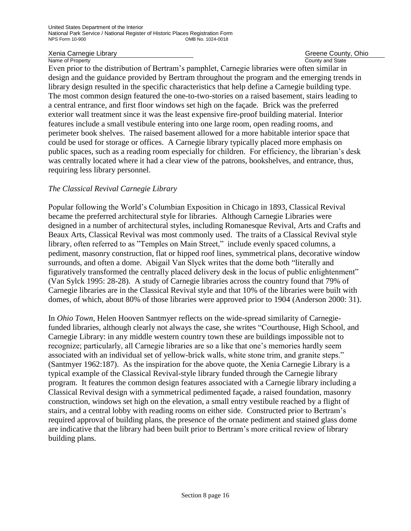Xenia Carnegie Library **Greene County, Ohio**<br>
Name of Property **Greene County, Ohio**<br>
Gounty and State County and State

Even prior to the distribution of Bertram's pamphlet, Carnegie libraries were often similar in design and the guidance provided by Bertram throughout the program and the emerging trends in library design resulted in the specific characteristics that help define a Carnegie building type. The most common design featured the one-to-two-stories on a raised basement, stairs leading to a central entrance, and first floor windows set high on the façade. Brick was the preferred exterior wall treatment since it was the least expensive fire-proof building material. Interior features include a small vestibule entering into one large room, open reading rooms, and perimeter book shelves. The raised basement allowed for a more habitable interior space that could be used for storage or offices. A Carnegie library typically placed more emphasis on public spaces, such as a reading room especially for children. For efficiency, the librarian's desk was centrally located where it had a clear view of the patrons, bookshelves, and entrance, thus, requiring less library personnel.

### *The Classical Revival Carnegie Library*

Popular following the World's Columbian Exposition in Chicago in 1893, Classical Revival became the preferred architectural style for libraries. Although Carnegie Libraries were designed in a number of architectural styles, including Romanesque Revival, Arts and Crafts and Beaux Arts, Classical Revival was most commonly used. The traits of a Classical Revival style library, often referred to as "Temples on Main Street," include evenly spaced columns, a pediment, masonry construction, flat or hipped roof lines, symmetrical plans, decorative window surrounds, and often a dome. Abigail Van Slyck writes that the dome both "literally and figuratively transformed the centrally placed delivery desk in the locus of public enlightenment" (Van Sylck 1995: 28-28). A study of Carnegie libraries across the country found that 79% of Carnegie libraries are in the Classical Revival style and that 10% of the libraries were built with domes, of which, about 80% of those libraries were approved prior to 1904 (Anderson 2000: 31).

In *Ohio Town*, Helen Hooven Santmyer reflects on the wide-spread similarity of Carnegiefunded libraries, although clearly not always the case, she writes "Courthouse, High School, and Carnegie Library: in any middle western country town these are buildings impossible not to recognize; particularly, all Carnegie libraries are so a like that one's memories hardly seem associated with an individual set of yellow-brick walls, white stone trim, and granite steps." (Santmyer 1962:187). As the inspiration for the above quote, the Xenia Carnegie Library is a typical example of the Classical Revival-style library funded through the Carnegie library program. It features the common design features associated with a Carnegie library including a Classical Revival design with a symmetrical pedimented façade, a raised foundation, masonry construction, windows set high on the elevation, a small entry vestibule reached by a flight of stairs, and a central lobby with reading rooms on either side. Constructed prior to Bertram's required approval of building plans, the presence of the ornate pediment and stained glass dome are indicative that the library had been built prior to Bertram's more critical review of library building plans.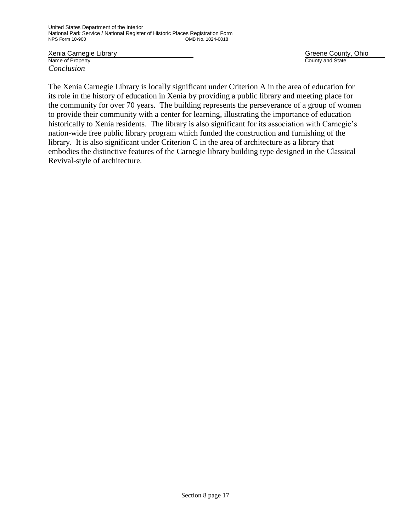Xenia Carnegie Library **Greene County, Ohio**<br>
Name of Property Greene County, Ohio Name of Property *Conclusion*

The Xenia Carnegie Library is locally significant under Criterion A in the area of education for its role in the history of education in Xenia by providing a public library and meeting place for the community for over 70 years. The building represents the perseverance of a group of women to provide their community with a center for learning, illustrating the importance of education historically to Xenia residents. The library is also significant for its association with Carnegie's nation-wide free public library program which funded the construction and furnishing of the library. It is also significant under Criterion C in the area of architecture as a library that embodies the distinctive features of the Carnegie library building type designed in the Classical Revival-style of architecture.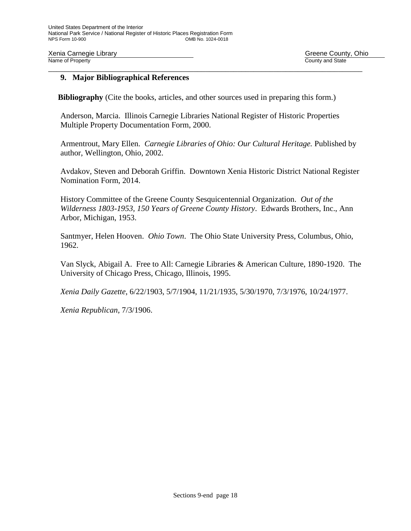Xenia Carnegie Library Martin County, Ohio Carnegie Library Channel County, Ohio County, Ohio County, Ohio County, Ohio

#### **9. Major Bibliographical References**

**Bibliography** (Cite the books, articles, and other sources used in preparing this form.)

\_\_\_\_\_\_\_\_\_\_\_\_\_\_\_\_\_\_\_\_\_\_\_\_\_\_\_\_\_\_\_\_\_\_\_\_\_\_\_\_\_\_\_\_\_\_\_\_\_\_\_\_\_\_\_\_\_\_\_\_\_\_\_\_\_\_\_\_\_\_\_\_\_\_\_\_\_\_

Anderson, Marcia. Illinois Carnegie Libraries National Register of Historic Properties Multiple Property Documentation Form, 2000.

Armentrout, Mary Ellen. *Carnegie Libraries of Ohio: Our Cultural Heritage.* Published by author, Wellington, Ohio, 2002.

Avdakov, Steven and Deborah Griffin. Downtown Xenia Historic District National Register Nomination Form, 2014.

History Committee of the Greene County Sesquicentennial Organization. *Out of the Wilderness 1803-1953, 150 Years of Greene County History*. Edwards Brothers, Inc., Ann Arbor, Michigan, 1953.

Santmyer, Helen Hooven. *Ohio Town*. The Ohio State University Press, Columbus, Ohio, 1962.

Van Slyck, Abigail A. Free to All: Carnegie Libraries & American Culture, 1890-1920. The University of Chicago Press, Chicago, Illinois, 1995.

*Xenia Daily Gazette*, 6/22/1903, 5/7/1904, 11/21/1935, 5/30/1970, 7/3/1976, 10/24/1977.

*Xenia Republican*, 7/3/1906.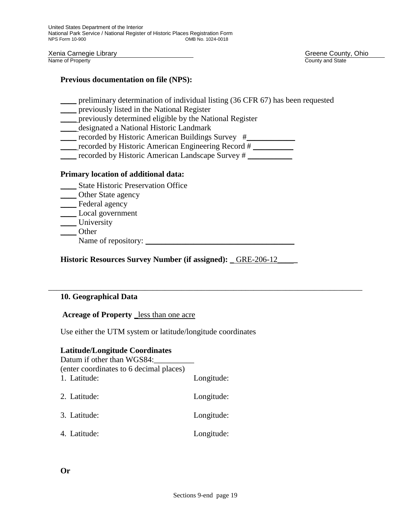Xenia Carnegie Library (*Xenia Carnegie Library Carnegie Library Carnegie Library Carnegie Library County, Ohio*<br>Name of Property

**Previous documentation on file (NPS):** 

- \_\_\_\_ preliminary determination of individual listing (36 CFR 67) has been requested
- \_\_\_\_ previously listed in the National Register
- \_\_\_\_ previously determined eligible by the National Register
- \_\_\_\_ designated a National Historic Landmark
- recorded by Historic American Buildings Survey #
- \_\_\_\_ recorded by Historic American Engineering Record # \_\_\_\_\_\_\_\_\_\_
- \_\_\_\_ recorded by Historic American Landscape Survey # \_\_\_\_\_\_\_\_\_\_\_

#### **Primary location of additional data:**

- \_\_\_\_ State Historic Preservation Office
- \_\_\_\_ Other State agency
- \_\_\_\_ Federal agency
- \_\_\_\_ Local government
- \_\_\_\_ University
- \_\_\_\_ Other
- Name of repository: \_\_\_\_\_\_\_\_\_\_\_\_\_\_\_\_\_\_\_\_\_\_\_\_\_\_\_\_\_\_\_\_\_\_\_\_\_

**Historic Resources Survey Number (if assigned):** \_ GRE-206-12\_\_\_\_**\_**

\_\_\_\_\_\_\_\_\_\_\_\_\_\_\_\_\_\_\_\_\_\_\_\_\_\_\_\_\_\_\_\_\_\_\_\_\_\_\_\_\_\_\_\_\_\_\_\_\_\_\_\_\_\_\_\_\_\_\_\_\_\_\_\_\_\_\_\_\_\_\_\_\_\_\_\_\_\_

### **10. Geographical Data**

#### **Acreage of Property** \_less than one acre

Use either the UTM system or latitude/longitude coordinates

### **Latitude/Longitude Coordinates**

| Datum if other than WGS84:<br>(enter coordinates to 6 decimal places) |            |
|-----------------------------------------------------------------------|------------|
| 1. Latitude:                                                          | Longitude: |
| 2. Latitude:                                                          | Longitude: |
| 3. Latitude:                                                          | Longitude: |
| 4. Latitude:                                                          | Longitude: |

County and State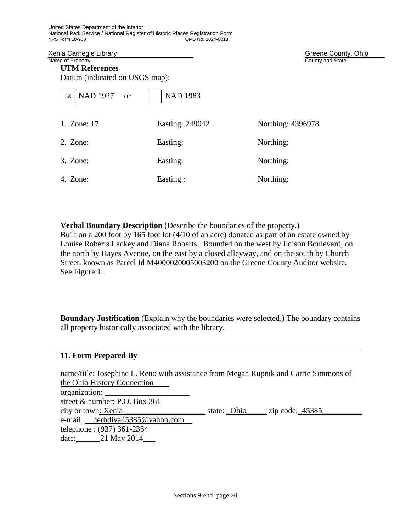Xenia Carnegie Library **Greene County, Ohio**<br>
Name of Property **Greene County, Ohio**<br>
Gounty and State County and State **UTM References** Datum (indicated on USGS map): NAD 1927 or | NAD 1983 1. Zone: 17 Easting: 249042 Northing: 4396978 2. Zone: Easting: Northing: 3. Zone: Easting: Northing: 4. Zone: Easting : Northing: X

**Verbal Boundary Description** (Describe the boundaries of the property.) Built on a 200 foot by 165 foot lot (4/10 of an acre) donated as part of an estate owned by Louise Roberts Lackey and Diana Roberts. Bounded on the west by Edison Boulevard, on the north by Hayes Avenue, on the east by a closed alleyway, and on the south by Church Street, known as Parcel Id M4000020005003200 on the Greene County Auditor website. See Figure 1.

**Boundary Justification** (Explain why the boundaries were selected.) The boundary contains all property historically associated with the library.

\_\_\_\_\_\_\_\_\_\_\_\_\_\_\_\_\_\_\_\_\_\_\_\_\_\_\_\_\_\_\_\_\_\_\_\_\_\_\_\_\_\_\_\_\_\_\_\_\_\_\_\_\_\_\_\_\_\_\_\_\_\_\_\_\_\_\_\_\_\_\_\_\_\_\_\_\_\_

#### **11. Form Prepared By**

| name/title: Josephine L. Reno with assistance from Megan Rupnik and Carrie Simmons of |                             |
|---------------------------------------------------------------------------------------|-----------------------------|
| the Ohio History Connection                                                           |                             |
|                                                                                       |                             |
| street $&$ number: P.O. Box 361                                                       |                             |
| city or town: Xenia                                                                   | state: Ohio zip code: 45385 |
| e-mail herbdiva45385@yahoo.com                                                        |                             |
| telephone: (937) 361-2354                                                             |                             |
| date: 21 May 2014                                                                     |                             |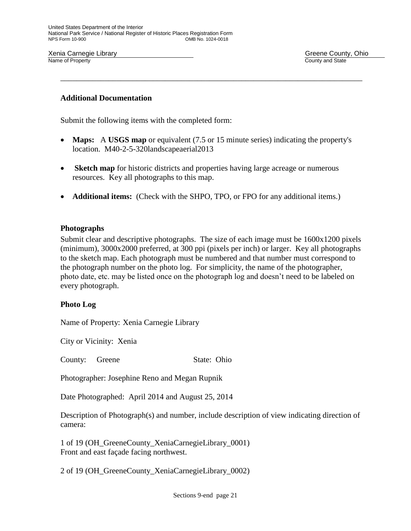Xenia Carnegie Library Martin County, Ohio Carnegie Library Greene County, Ohio County, Ohio County, Ohio County<br>
Name of Property

County and State

#### **Additional Documentation**

Submit the following items with the completed form:

 **Maps:** A **USGS map** or equivalent (7.5 or 15 minute series) indicating the property's location. M40-2-5-320landscapeaerial2013

\_\_\_\_\_\_\_\_\_\_\_\_\_\_\_\_\_\_\_\_\_\_\_\_\_\_\_\_\_\_\_\_\_\_\_\_\_\_\_\_\_\_\_\_\_\_\_\_\_\_\_\_\_\_\_\_\_\_\_\_\_\_\_\_\_\_\_\_\_\_\_\_\_\_\_

- **Sketch map** for historic districts and properties having large acreage or numerous resources. Key all photographs to this map.
- **Additional items:** (Check with the SHPO, TPO, or FPO for any additional items.)

#### **Photographs**

Submit clear and descriptive photographs. The size of each image must be 1600x1200 pixels (minimum), 3000x2000 preferred, at 300 ppi (pixels per inch) or larger. Key all photographs to the sketch map. Each photograph must be numbered and that number must correspond to the photograph number on the photo log. For simplicity, the name of the photographer, photo date, etc. may be listed once on the photograph log and doesn't need to be labeled on every photograph.

### **Photo Log**

Name of Property: Xenia Carnegie Library

City or Vicinity: Xenia

County: Greene State: Ohio

Photographer: Josephine Reno and Megan Rupnik

Date Photographed: April 2014 and August 25, 2014

Description of Photograph(s) and number, include description of view indicating direction of camera:

1 of 19 (OH\_GreeneCounty\_XeniaCarnegieLibrary\_0001) Front and east façade facing northwest.

2 of 19 (OH\_GreeneCounty\_XeniaCarnegieLibrary\_0002)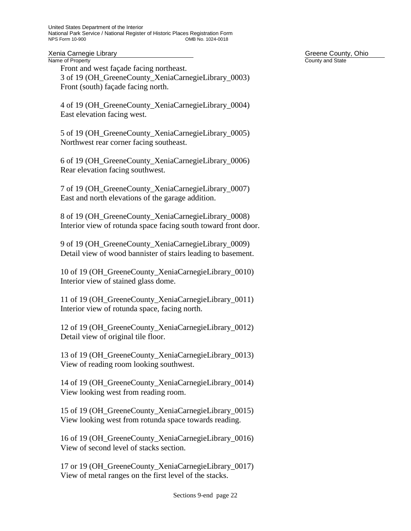Front and west façade facing northeast. 3 of 19 (OH\_GreeneCounty\_XeniaCarnegieLibrary\_0003) Front (south) façade facing north.

4 of 19 (OH\_GreeneCounty\_XeniaCarnegieLibrary\_0004) East elevation facing west.

5 of 19 (OH\_GreeneCounty\_XeniaCarnegieLibrary\_0005) Northwest rear corner facing southeast.

6 of 19 (OH\_GreeneCounty\_XeniaCarnegieLibrary\_0006) Rear elevation facing southwest.

7 of 19 (OH\_GreeneCounty\_XeniaCarnegieLibrary\_0007) East and north elevations of the garage addition.

8 of 19 (OH\_GreeneCounty\_XeniaCarnegieLibrary\_0008) Interior view of rotunda space facing south toward front door.

9 of 19 (OH\_GreeneCounty\_XeniaCarnegieLibrary\_0009) Detail view of wood bannister of stairs leading to basement.

10 of 19 (OH\_GreeneCounty\_XeniaCarnegieLibrary\_0010) Interior view of stained glass dome.

11 of 19 (OH\_GreeneCounty\_XeniaCarnegieLibrary\_0011) Interior view of rotunda space, facing north.

12 of 19 (OH\_GreeneCounty\_XeniaCarnegieLibrary\_0012) Detail view of original tile floor.

13 of 19 (OH\_GreeneCounty\_XeniaCarnegieLibrary\_0013) View of reading room looking southwest.

14 of 19 (OH\_GreeneCounty\_XeniaCarnegieLibrary\_0014) View looking west from reading room.

15 of 19 (OH\_GreeneCounty\_XeniaCarnegieLibrary\_0015) View looking west from rotunda space towards reading.

16 of 19 (OH\_GreeneCounty\_XeniaCarnegieLibrary\_0016) View of second level of stacks section.

17 or 19 (OH\_GreeneCounty\_XeniaCarnegieLibrary\_0017) View of metal ranges on the first level of the stacks.

Xenia Carnegie Library **Greene County, Ohio**<br>
Name of Property **Greene County, Ohio**<br>
Gounty and State County and State